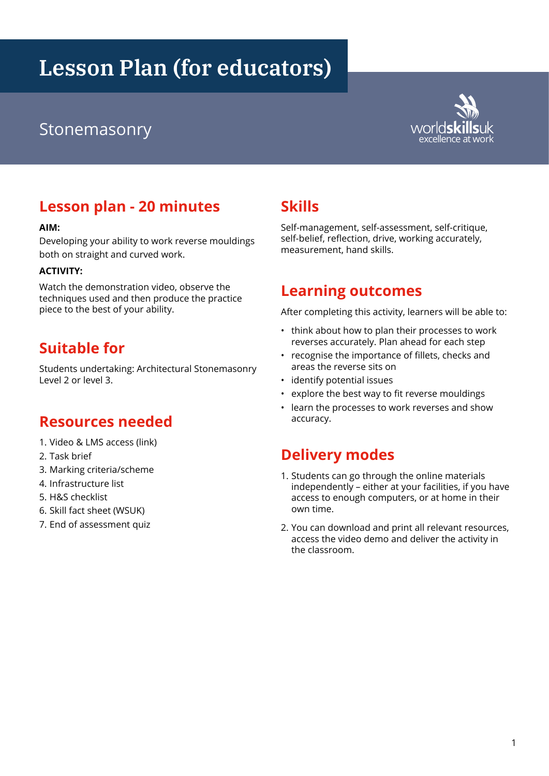# **Lesson Plan (for educators)**

## excellence at worlds at work of the stone at work of the stone at work of the stone at work at work at work at work  $\frac{1}{2}$



### **Lesson plan - 20 minutes**

#### **AIM:**

Developing your ability to work reverse mouldings both on straight and curved work.

#### **ACTIVITY:**

Watch the demonstration video, observe the techniques used and then produce the practice piece to the best of your ability.

### **Suitable for**

Students undertaking: Architectural Stonemasonry Level 2 or level 3.

#### **Resources needed**

- 1. Video & LMS access (link)
- 2. Task brief
- 3. Marking criteria/scheme
- 4. Infrastructure list
- 5. H&S checklist
- 6. Skill fact sheet (WSUK)
- 7. End of assessment quiz

### **Skills**

Self-management, self-assessment, self-critique, self-belief, reflection, drive, working accurately, measurement, hand skills.

#### **Learning outcomes**

After completing this activity, learners will be able to:

- think about how to plan their processes to work reverses accurately. Plan ahead for each step
- recognise the importance of fillets, checks and areas the reverse sits on
- identify potential issues
- explore the best way to fit reverse mouldings
- learn the processes to work reverses and show accuracy.

### **Delivery modes**

- 1. Students can go through the online materials independently – either at your facilities, if you have access to enough computers, or at home in their own time.
- 2. You can download and print all relevant resources, access the video demo and deliver the activity in the classroom.